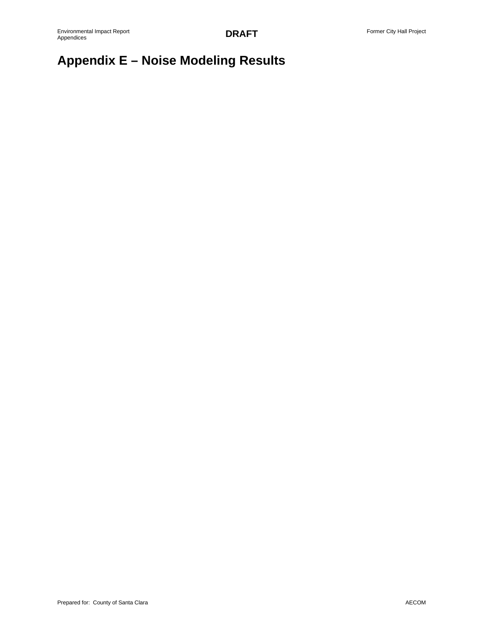# **Appendix E – Noise Modeling Results**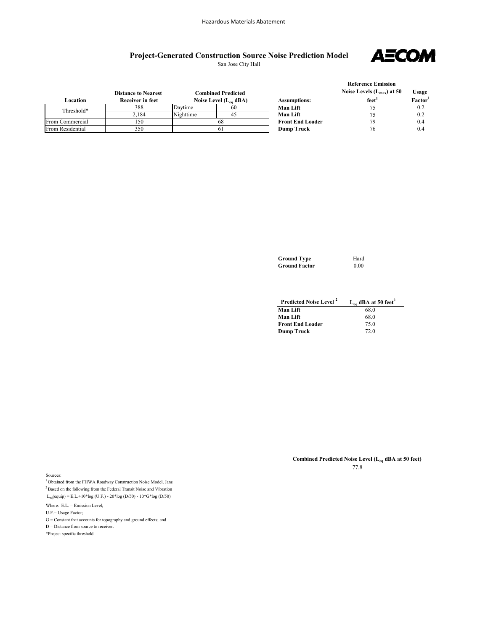### **Project-Generated Construction Source Noise Prediction Model** San Jose City Hall

**AECOM** 

| Location         | <b>Distance to Nearest</b><br>Receiver in feet |           | <b>Combined Predicted</b><br>Noise Level $(L_{eq}$ dBA) | <b>Assumptions:</b>     | <b>Reference Emission</b><br>Noise Levels $(L_{max})$ at 50<br>feet <sup>'</sup> | Usage<br>Factor <sup>1</sup> |
|------------------|------------------------------------------------|-----------|---------------------------------------------------------|-------------------------|----------------------------------------------------------------------------------|------------------------------|
| Threshold*       | 388                                            | Davtime   | 60                                                      | <b>Man Lift</b>         | 75                                                                               | 0.2                          |
|                  | 2.184                                          | Nighttime | 45                                                      | <b>Man Lift</b>         | 75                                                                               | 0.2                          |
| From Commercial  | 150                                            | 68        |                                                         | <b>Front End Loader</b> | 79                                                                               | 0.4                          |
| From Residential | 350                                            | 61        |                                                         | <b>Dump Truck</b>       | 76                                                                               | 0.4                          |

| <b>Ground Type</b>   | Hard |
|----------------------|------|
| <b>Ground Factor</b> | 0.00 |

| Predicted Noise Level <sup>2</sup> | $L_{eq}$ dBA at 50 feet <sup>2</sup> |
|------------------------------------|--------------------------------------|
| <b>Man Lift</b>                    | 68.0                                 |
| <b>Man Lift</b>                    | 68.0                                 |
| <b>Front End Loader</b>            | 75.0                                 |
| <b>Dump Truck</b>                  | 72.0                                 |

**Combined Predicted Noise Level (Leq dBA at 50 feet)**

77.8

Sources:

 $^{\rm l}$  Obtained from the FHWA Roadway Construction Noise Model, Janu 2 Based on the following from the Federal Transit Noise and Vibration  $L_{eq}($ equip) = E.L.+10\*log (U.F.) - 20\*log (D/50) - 10\*G\*log (D/50)

Where: E.L. = Emission Level;

U.F.= Usage Factor;

 $\mathrm{G} = \mathrm{Constant}$  that accounts for topography and ground effects; and

D = Distance from source to receiver.

\*Project specific threshold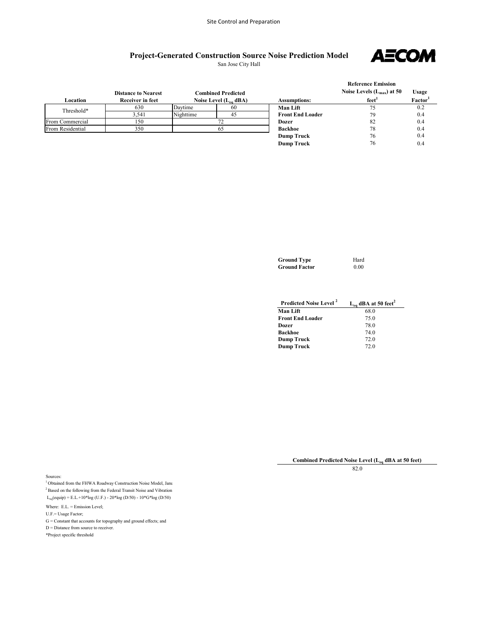## **Project-Generated Construction Source Noise Prediction Model**

San Jose City Hall



|                  |                            |           |                            |                         | <b>Reference Emission</b>      |                     |
|------------------|----------------------------|-----------|----------------------------|-------------------------|--------------------------------|---------------------|
|                  | <b>Distance to Nearest</b> |           | <b>Combined Predicted</b>  |                         | Noise Levels $(L_{max})$ at 50 | Usage               |
| Location         | <b>Receiver in feet</b>    |           | Noise Level $(L_{eq}$ dBA) | <b>Assumptions:</b>     | feet <sup>1</sup>              | Factor <sup>1</sup> |
| Threshold*       | 630                        | Davtime   | 60                         | <b>Man Lift</b>         | 75                             | 0.2                 |
|                  | 3.541                      | Nighttime | 45                         | <b>Front End Loader</b> | 79                             | 0.4                 |
| From Commercial  | 150                        |           |                            | Dozer                   | 82                             | 0.4                 |
| From Residential | 350                        |           | 65                         | <b>Backhoe</b>          | 78                             | 0.4                 |
|                  |                            |           |                            | <b>Dump Truck</b>       | 76                             | 0.4                 |
|                  |                            |           |                            | <b>Dump Truck</b>       | 76                             | 0.4                 |

| <b>Ground Type</b>   | Hard |
|----------------------|------|
| <b>Ground Factor</b> | 0.00 |

| <b>Predicted Noise Level</b> <sup>2</sup> | $L_{eq}$ dBA at 50 feet <sup>2</sup> |
|-------------------------------------------|--------------------------------------|
| <b>Man Lift</b>                           | 68.0                                 |
| <b>Front End Loader</b>                   | 75.0                                 |
| Dozer                                     | 78.0                                 |
| Backhoe                                   | 74.0                                 |
| <b>Dump Truck</b>                         | 72.0                                 |
| Dump Truck                                | 72.0                                 |

**Combined Predicted Noise Level (Leq dBA at 50 feet)**

Sources:

 $^{1}$  Obtained from the FHWA Roadway Construction Noise Model, Janu  $^2$  Based on the following from the Federal Transit Noise and Vibration  $L_{eq}(equiv) = E.L.+10*log (U.F.) - 20*log (D/50) - 10*G*log (D/50)$ 

Where: E.L. = Emission Level;

 $\mathbf{U}.\mathbf{F} = \mathbf{U} \mathbf{s}$ ge Factor;

 $\mathbf{G} = \mathbf{Constant}$  that accounts for topography and ground effects; and

D = Distance from source to receiver.

\*Project specific threshold

82.0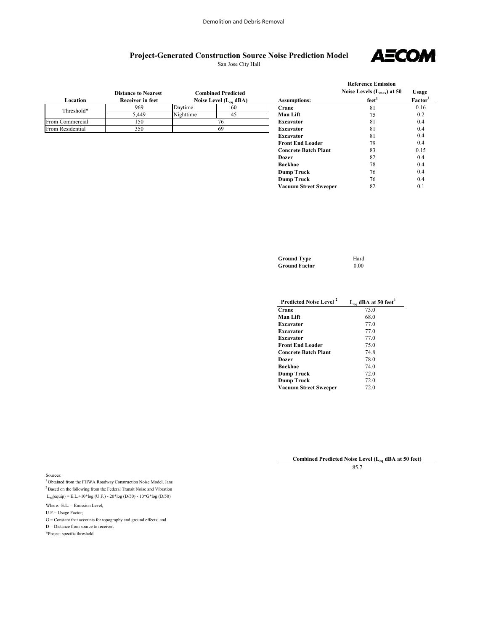### **Project-Generated Construction Source Noise Prediction Model** San Jose City Hall

**AECOM** 

| Location         | <b>Distance to Nearest</b><br>Receiver in feet |           | Combined Predicted<br>Noise Level $(L_{eq} dBA)$ | <b>Assumptions:</b> | <b>Reference Emission</b><br>Noise Levels $(L_{max})$ at 50<br>feet <sup>1</sup> | Usag<br>Facto |
|------------------|------------------------------------------------|-----------|--------------------------------------------------|---------------------|----------------------------------------------------------------------------------|---------------|
| Threshold*       | 969                                            | Davtime   | 60                                               | Crane               | 81                                                                               | 0.16          |
|                  | 5.449                                          | Nighttime | 45                                               | <b>Man Lift</b>     | 75                                                                               | 0.2           |
| From Commercial  | 150                                            |           |                                                  | <b>Excavator</b>    | 81                                                                               | 0.4           |
| From Residential | 350                                            |           | 69                                               | Excavator           | 81                                                                               | 0.4           |
|                  |                                                |           |                                                  | <b>Excavator</b>    | 81                                                                               | 0.4           |
|                  |                                                |           |                                                  | _____________       | - -                                                                              | $\sim$ $\sim$ |

|                              | Noise Levels $(L_{max})$ at 50 | Usage               |
|------------------------------|--------------------------------|---------------------|
| <b>Assumptions:</b>          | $f$ eet <sup>1</sup>           | Factor <sup>1</sup> |
| Crane                        | 81                             | 0.16                |
| Man Lift                     | 75                             | 0.2                 |
| <b>Excavator</b>             | 81                             | 0.4                 |
| <b>Excavator</b>             | 81                             | 0.4                 |
| <b>Excavator</b>             | 81                             | 0.4                 |
| <b>Front End Loader</b>      | 79                             | 0.4                 |
| <b>Concrete Batch Plant</b>  | 83                             | 0.15                |
| Dozer                        | 82                             | 0.4                 |
| <b>Backhoe</b>               | 78                             | 0.4                 |
| <b>Dump Truck</b>            | 76                             | 0.4                 |
| <b>Dump Truck</b>            | 76                             | 0.4                 |
| <b>Vacuum Street Sweeper</b> | 82                             | 0.1                 |

| <b>Ground Type</b>   | Hard |
|----------------------|------|
| <b>Ground Factor</b> | 0.00 |

| Predicted Noise Level <sup>2</sup> | $L_{eq}$ dBA at 50 feet <sup>2</sup> |
|------------------------------------|--------------------------------------|
| Crane                              | 73.0                                 |
| Man Lift                           | 68.0                                 |
| <b>Excavator</b>                   | 77.0                                 |
| <b>Excavator</b>                   | 77.0                                 |
| <b>Excavator</b>                   | 77.0                                 |
| <b>Front End Loader</b>            | 75.0                                 |
| <b>Concrete Batch Plant</b>        | 74.8                                 |
| Dozer                              | 78.0                                 |
| <b>Backhoe</b>                     | 74.0                                 |
| <b>Dump Truck</b>                  | 72.0                                 |
| <b>Dump Truck</b>                  | 72.0                                 |
| <b>Vacuum Street Sweeper</b>       | 72.0                                 |

**Combined Predicted Noise Level (Leq dBA at 50 feet)**

85.7

Sources:

 $^{\rm l}$  Obtained from the FHWA Roadway Construction Noise Model, Janu 2 Based on the following from the Federal Transit Noise and Vibration  $L_{eq}($ equip) = E.L.+10\*log (U.F.) - 20\*log (D/50) - 10\*G\*log (D/50)

Where: E.L. = Emission Level;

U.F.= Usage Factor;

 $\mathbf{G} = \mathbf{Constant}$  that accounts for topography and ground effects; and

D = Distance from source to receiver.

\*Project specific threshold